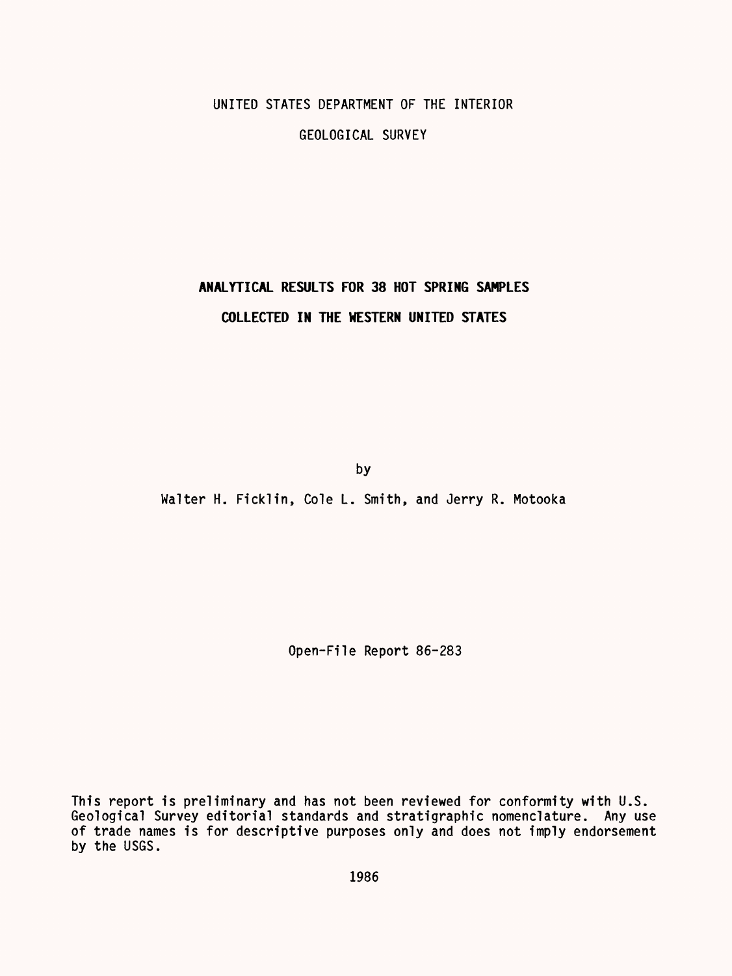## UNITED STATES DEPARTMENT OF THE INTERIOR GEOLOGICAL SURVEY

### **ANALYTICAL RESULTS FOR 38 HOT SPRING SAMPLES COLLECTED IN THE WESTERN UNITED STATES**

by

Walter H. Ficklin, Cole L. Smith, and Jerry R. Motooka

Open-File Report 86-283

This report is preliminary and has not been reviewed for conformity with U.S. Geological Survey editorial standards and stratigraphic nomenclature. Any use of trade names is for descriptive purposes only and does not imply endorsement by the USGS.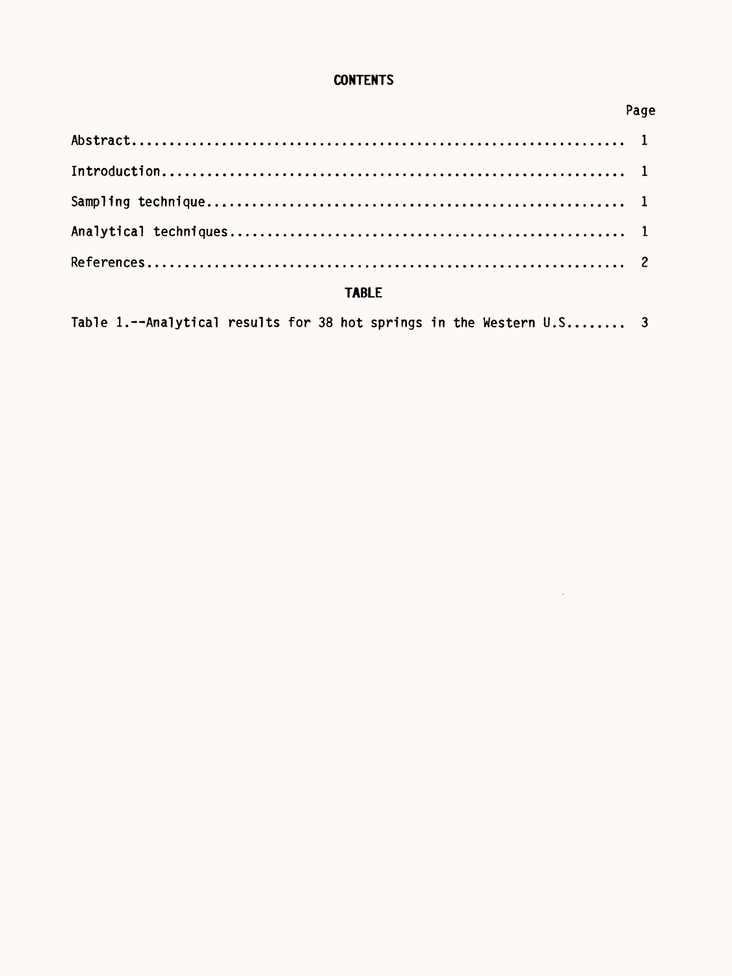### **CONTENTS**

| - Page       |  |  |  |  |  |  |  |  |  |
|--------------|--|--|--|--|--|--|--|--|--|
|              |  |  |  |  |  |  |  |  |  |
|              |  |  |  |  |  |  |  |  |  |
|              |  |  |  |  |  |  |  |  |  |
|              |  |  |  |  |  |  |  |  |  |
|              |  |  |  |  |  |  |  |  |  |
| <b>TABLE</b> |  |  |  |  |  |  |  |  |  |

Table 1.--Analytical results for 38 hot springs in the Western U.S........ 3

# Page

 $\sim 10^{11}$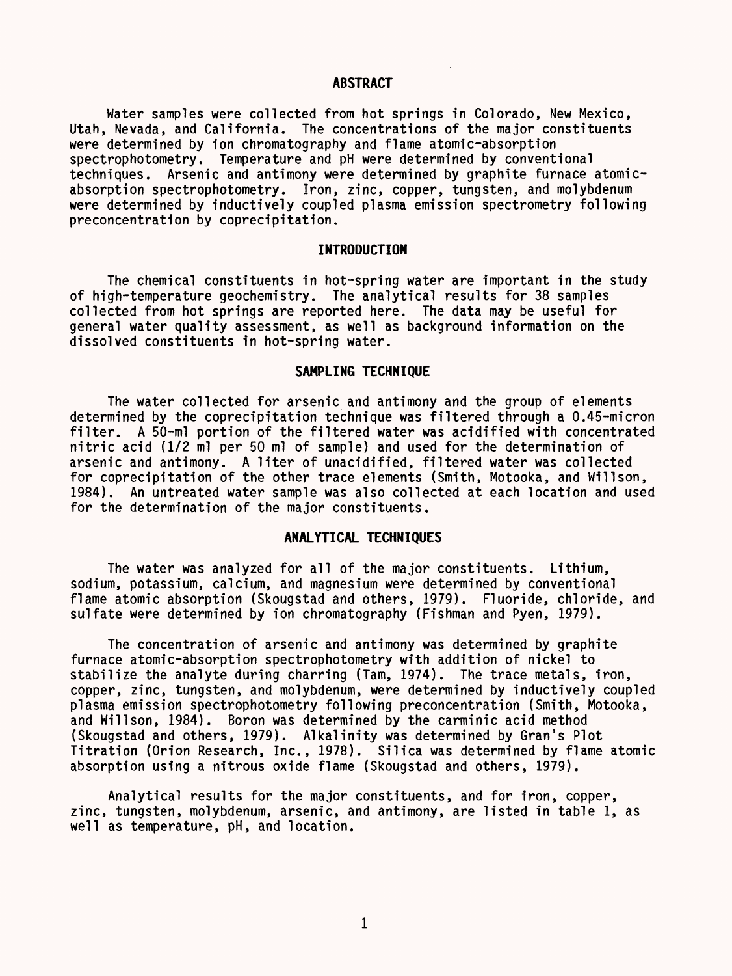#### **ABSTRACT**

Water samples were collected from hot springs in Colorado, New Mexico, Utah, Nevada, and California. The concentrations of the major constituents were determined by ion chromatography and flame atomic-absorption spectrophotometry. Temperature and pH were determined by conventional techniques. Arsenic and antimony were determined by graphite furnace atomicabsorption spectrophotometry. Iron, zinc, copper, tungsten, and molybdenum were determined by inductively coupled plasma emission spectrometry following preconcentration by coprecipitation.

#### **INTRODUCTION**

The chemical constituents in hot-spring water are important in the study of high-temperature geochemistry. The analytical results for 38 samples collected from hot springs are reported here. The data may be useful for general water quality assessment, as well as background information on the dissolved constituents in hot-spring water.

#### **SAMPLING TECHNIQUE**

The water collected for arsenic and antimony and the group of elements determined by the coprecipitation technique was filtered through a 0.45-micron filter. A 50-ml portion of the filtered water was acidified with concentrated nitric acid (1/2 ml per 50 ml of sample) and used for the determination of arsenic and antimony. A liter of unacidified, filtered water was collected for coprecipitation of the other trace elements (Smith, Motooka, and Willson, 1984). An untreated water sample was also collected at each location and used for the determination of the major constituents.

#### **ANALYTICAL TECHNIQUES**

The water was analyzed for all of the major constituents. Lithium, sodium, potassium, calcium, and magnesium were determined by conventional flame atomic absorption (Skougstad and others, 1979). Fluoride, chloride, and sulfate were determined by ion chromatography (Fishman and Pyen, 1979).

The concentration of arsenic and antimony was determined by graphite furnace atomic-absorption spectrophotometry with addition of nickel to stabilize the analyte during charring (Tam, 1974). The trace metals, iron, copper, zinc, tungsten, and molybdenum, were determined by inductively coupled plasma emission spectrophotometry following preconcentration (Smith, Motooka, and Willson, 1984). Boron was determined by the carminic acid method (Skougstad and others, 1979). Alkalinity was determined by Gran's Plot Titration (Orion Research, Inc., 1978). Silica was determined by flame atomic absorption using a nitrous oxide flame (Skougstad and others, 1979).

Analytical results for the major constituents, and for iron, copper, zinc, tungsten, molybdenum, arsenic, and antimony, are listed in table 1, as well as temperature, pH, and location.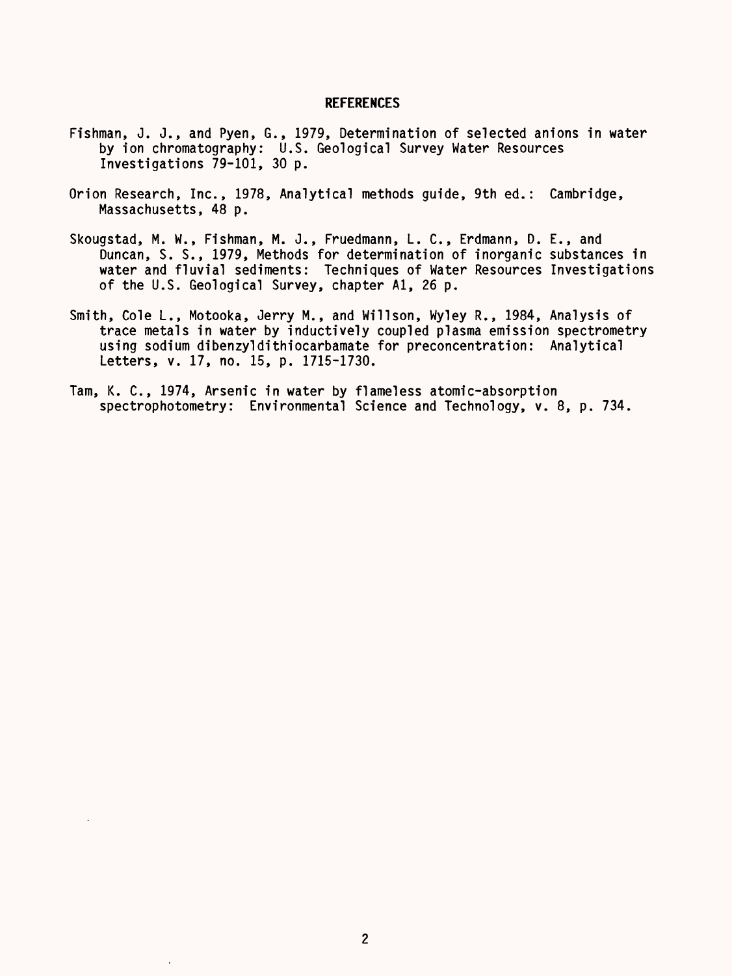#### **REFERENCES**

- Fishman, J. J., and Pyen, G., 1979, Determination of selected anions in water by ion chromatography: U.S. Geological Survey Water Resources Investigations 79-101, 30 p.
- Orion Research, Inc., 1978, Analytical methods guide, 9th ed.: Cambridge, Massachusetts, 48 p.
- Skougstad, M. W., Fishman, M. J., Fruedmann, L. C., Erdmann, D. E., and Duncan, S. S., 1979, Methods for determination of inorganic substances in water and fluvial sediments: Techniques of Water Resources Investigations of the U.S. Geological Survey, chapter Al, 26 p.
- Smith, Cole L., Motooka, Jerry M., and Willson, Wyley R., 1984, Analysis of trace metals in water by inductively coupled plasma emission spectrometry using sodium dibenzyldithiocarbamate for preconcentration: Analytical Letters, v. 17, no. 15, p. 1715-1730.
- Tam, K. C., 1974, Arsenic in water by flameless atomic-absorption spectrophotometry: Environmental Science and Technology, v. 8, p. 734.